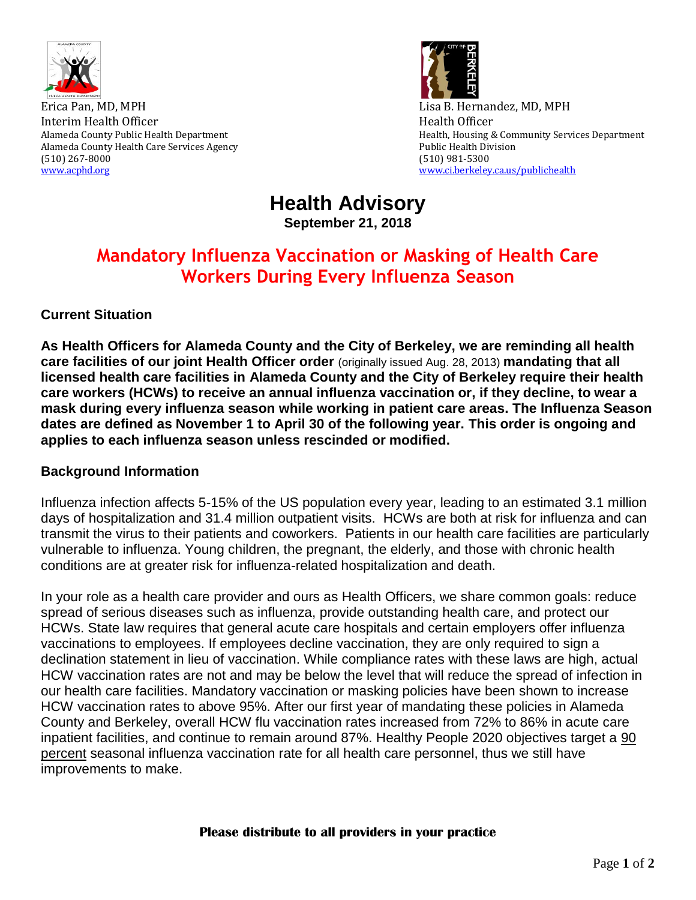

Erica Pan, MD, MPH **Existence** B. Hernandez, MD, MPH Interim Health Officer **Health** Officer **Health Officer Health** Officer Alameda County Health Care Services Agency **Public Health Division** Public Health Division (510) 267-8000 (510) 981-5300 [www.acphd.org](http://www.acphd.org/) [www.ci.berkeley.ca.us/publichealth](http://www.ci.berkeley.ca.us/publichealth)



Alameda County Public Health Department **Health Alameda County Public Health**, Housing & Community Services Department

**Health Advisory September 21, 2018**

# **Mandatory Influenza Vaccination or Masking of Health Care Workers During Every Influenza Season**

## **Current Situation**

**As Health Officers for Alameda County and the City of Berkeley, we are reminding all health care facilities of our joint Health Officer order** (originally issued Aug. 28, 2013) **mandating that all licensed health care facilities in Alameda County and the City of Berkeley require their health care workers (HCWs) to receive an annual influenza vaccination or, if they decline, to wear a mask during every influenza season while working in patient care areas. The Influenza Season dates are defined as November 1 to April 30 of the following year. This order is ongoing and applies to each influenza season unless rescinded or modified.**

### **Background Information**

Influenza infection affects 5-15% of the US population every year, leading to an estimated 3.1 million days of hospitalization and 31.4 million outpatient visits. HCWs are both at risk for influenza and can transmit the virus to their patients and coworkers. Patients in our health care facilities are particularly vulnerable to influenza. Young children, the pregnant, the elderly, and those with chronic health conditions are at greater risk for influenza-related hospitalization and death.

In your role as a health care provider and ours as Health Officers, we share common goals: reduce spread of serious diseases such as influenza, provide outstanding health care, and protect our HCWs. State law requires that general acute care hospitals and certain employers offer influenza vaccinations to employees. If employees decline vaccination, they are only required to sign a declination statement in lieu of vaccination. While compliance rates with these laws are high, actual HCW vaccination rates are not and may be below the level that will reduce the spread of infection in our health care facilities. Mandatory vaccination or masking policies have been shown to increase HCW vaccination rates to above 95%. After our first year of mandating these policies in Alameda County and Berkeley, overall HCW flu vaccination rates increased from 72% to 86% in acute care inpatient facilities, and continue to remain around 87%. Healthy People 2020 objectives target a 90 percent seasonal influenza vaccination rate for all health care personnel, thus we still have improvements to make.